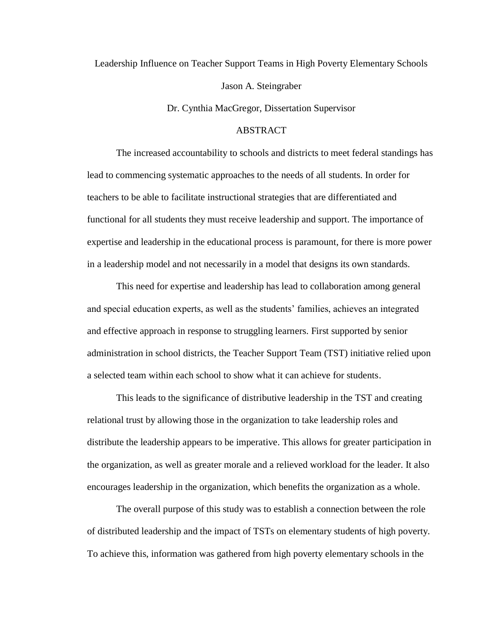Leadership Influence on Teacher Support Teams in High Poverty Elementary Schools Jason A. Steingraber

Dr. Cynthia MacGregor, Dissertation Supervisor

## **ABSTRACT**

The increased accountability to schools and districts to meet federal standings has lead to commencing systematic approaches to the needs of all students. In order for teachers to be able to facilitate instructional strategies that are differentiated and functional for all students they must receive leadership and support. The importance of expertise and leadership in the educational process is paramount, for there is more power in a leadership model and not necessarily in a model that designs its own standards.

This need for expertise and leadership has lead to collaboration among general and special education experts, as well as the students' families, achieves an integrated and effective approach in response to struggling learners. First supported by senior administration in school districts, the Teacher Support Team (TST) initiative relied upon a selected team within each school to show what it can achieve for students.

This leads to the significance of distributive leadership in the TST and creating relational trust by allowing those in the organization to take leadership roles and distribute the leadership appears to be imperative. This allows for greater participation in the organization, as well as greater morale and a relieved workload for the leader. It also encourages leadership in the organization, which benefits the organization as a whole.

The overall purpose of this study was to establish a connection between the role of distributed leadership and the impact of TSTs on elementary students of high poverty. To achieve this, information was gathered from high poverty elementary schools in the